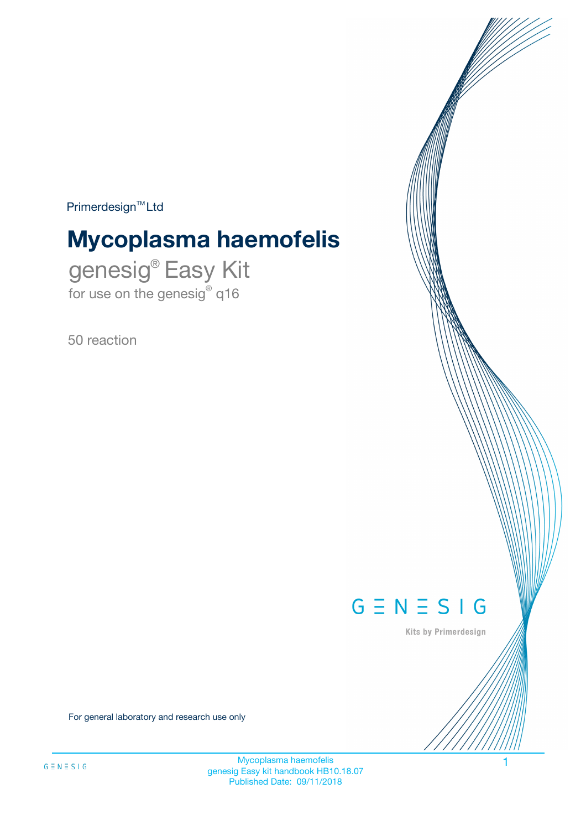$Primerdesign^{\text{TM}}Ltd$ 

# **Mycoplasma haemofelis**

genesig® Easy Kit for use on the genesig® q16

50 reaction



Kits by Primerdesign

For general laboratory and research use only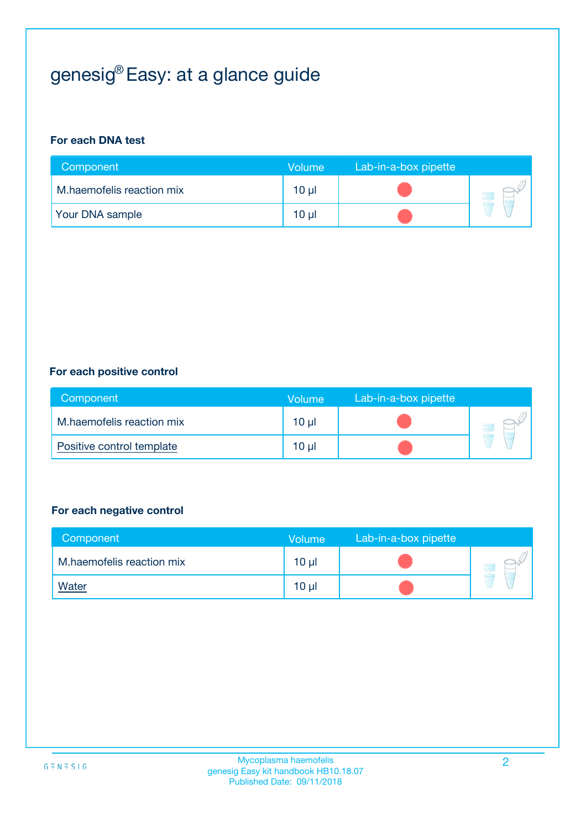## genesig® Easy: at a glance guide

#### **For each DNA test**

| Component                 | <b>Volume</b> | Lab-in-a-box pipette |  |
|---------------------------|---------------|----------------------|--|
| M.haemofelis reaction mix | $10 \mu$      |                      |  |
| <b>Your DNA sample</b>    | 10 µl         |                      |  |

#### **For each positive control**

| Component                 | Volume          | Lab-in-a-box pipette |  |
|---------------------------|-----------------|----------------------|--|
| M.haemofelis reaction mix | 10 µl           |                      |  |
| Positive control template | 10 <sub>µ</sub> |                      |  |

#### **For each negative control**

| Component                 | <b>Volume</b>   | Lab-in-a-box pipette |  |
|---------------------------|-----------------|----------------------|--|
| M.haemofelis reaction mix | 10 <sub>µ</sub> |                      |  |
| <u>Water</u>              | 10 <sub>µ</sub> |                      |  |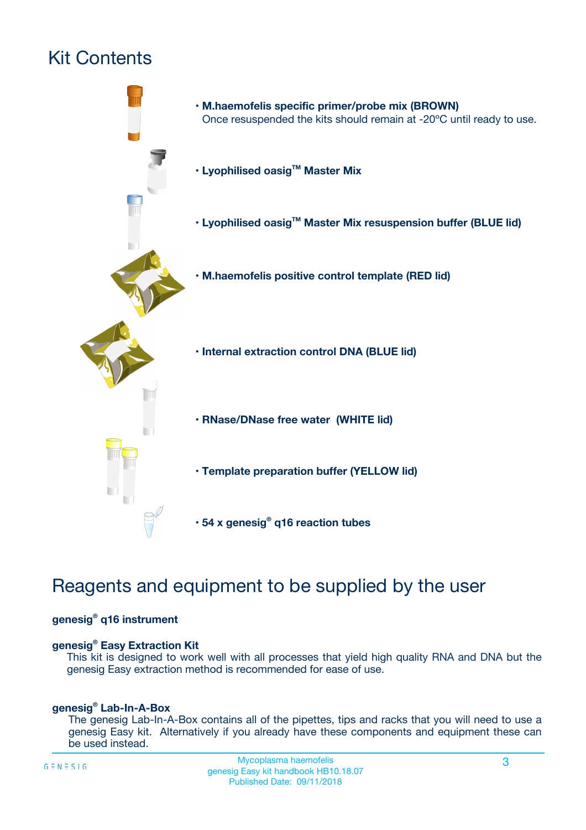## Kit Contents



## Reagents and equipment to be supplied by the user

#### **genesig® q16 instrument**

#### **genesig® Easy Extraction Kit**

This kit is designed to work well with all processes that yield high quality RNA and DNA but the genesig Easy extraction method is recommended for ease of use.

#### **genesig® Lab-In-A-Box**

The genesig Lab-In-A-Box contains all of the pipettes, tips and racks that you will need to use a genesig Easy kit. Alternatively if you already have these components and equipment these can be used instead.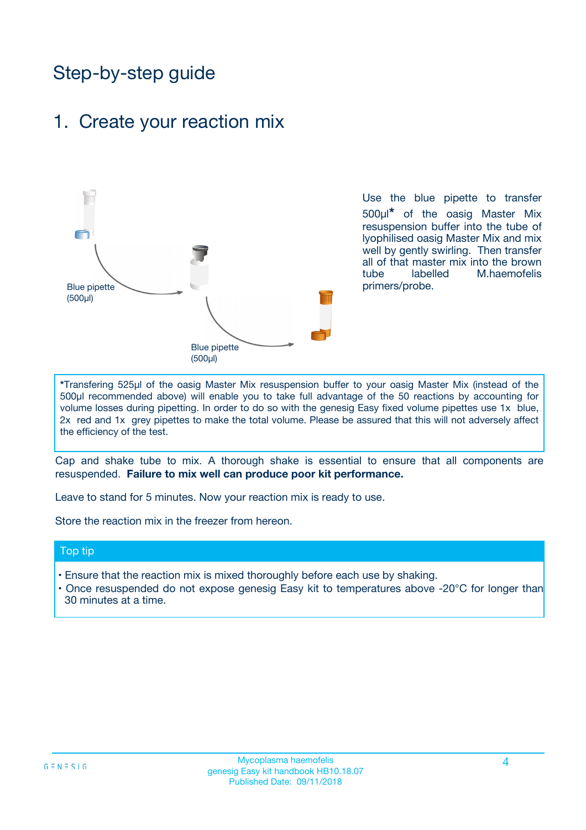## Step-by-step guide

### 1. Create your reaction mix



Use the blue pipette to transfer 500µl**\*** of the oasig Master Mix resuspension buffer into the tube of lyophilised oasig Master Mix and mix well by gently swirling. Then transfer all of that master mix into the brown tube labelled M.haemofelis primers/probe.

**\***Transfering 525µl of the oasig Master Mix resuspension buffer to your oasig Master Mix (instead of the 500µl recommended above) will enable you to take full advantage of the 50 reactions by accounting for volume losses during pipetting. In order to do so with the genesig Easy fixed volume pipettes use 1x blue, 2x red and 1x grey pipettes to make the total volume. Please be assured that this will not adversely affect the efficiency of the test.

Cap and shake tube to mix. A thorough shake is essential to ensure that all components are resuspended. **Failure to mix well can produce poor kit performance.**

Leave to stand for 5 minutes. Now your reaction mix is ready to use.

Store the reaction mix in the freezer from hereon.

#### Top tip

- Ensure that the reaction mix is mixed thoroughly before each use by shaking.
- Once resuspended do not expose genesig Easy kit to temperatures above -20°C for longer than 30 minutes at a time.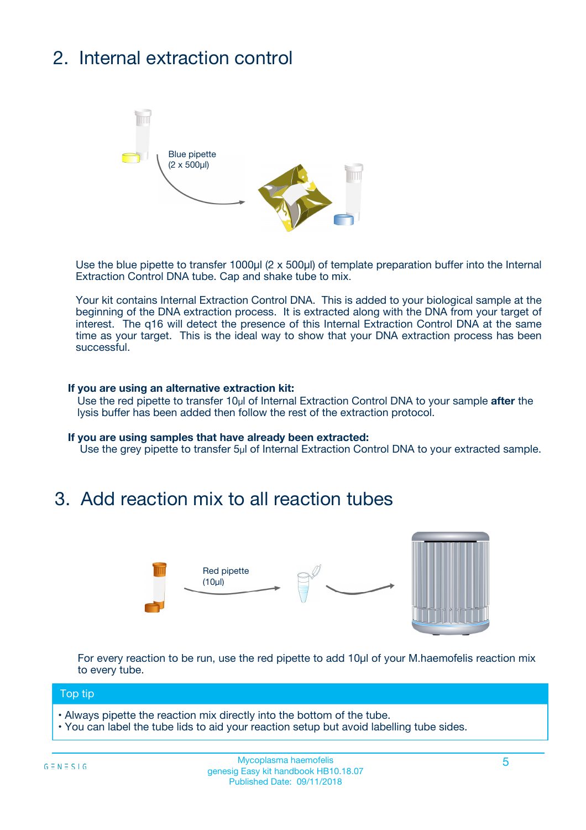## 2. Internal extraction control



Use the blue pipette to transfer 1000µl (2 x 500µl) of template preparation buffer into the Internal Extraction Control DNA tube. Cap and shake tube to mix.

Your kit contains Internal Extraction Control DNA. This is added to your biological sample at the beginning of the DNA extraction process. It is extracted along with the DNA from your target of interest. The q16 will detect the presence of this Internal Extraction Control DNA at the same time as your target. This is the ideal way to show that your DNA extraction process has been successful.

#### **If you are using an alternative extraction kit:**

Use the red pipette to transfer 10µl of Internal Extraction Control DNA to your sample **after** the lysis buffer has been added then follow the rest of the extraction protocol.

#### **If you are using samples that have already been extracted:**

Use the grey pipette to transfer 5µl of Internal Extraction Control DNA to your extracted sample.

### 3. Add reaction mix to all reaction tubes



For every reaction to be run, use the red pipette to add 10µl of your M.haemofelis reaction mix to every tube.

#### Top tip

- Always pipette the reaction mix directly into the bottom of the tube.
- You can label the tube lids to aid your reaction setup but avoid labelling tube sides.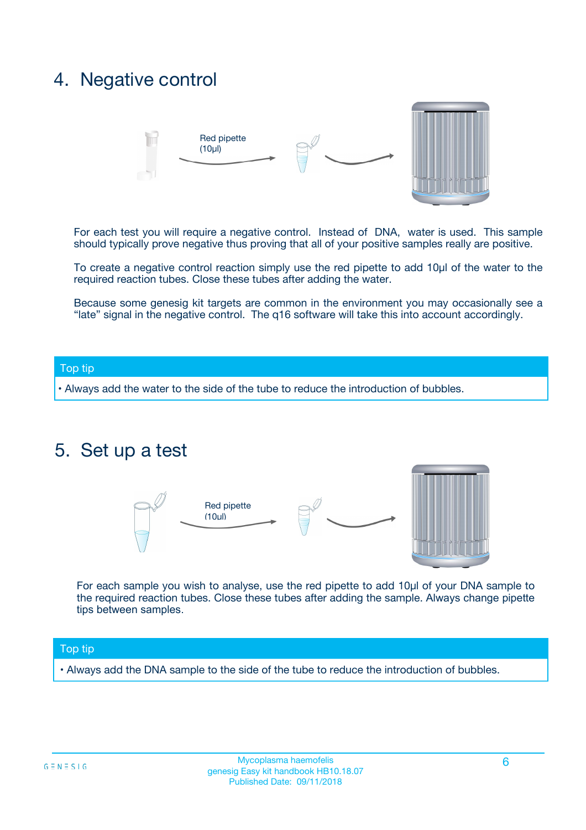### 4. Negative control



For each test you will require a negative control. Instead of DNA, water is used. This sample should typically prove negative thus proving that all of your positive samples really are positive.

To create a negative control reaction simply use the red pipette to add 10µl of the water to the required reaction tubes. Close these tubes after adding the water.

Because some genesig kit targets are common in the environment you may occasionally see a "late" signal in the negative control. The q16 software will take this into account accordingly.

#### Top tip

**•** Always add the water to the side of the tube to reduce the introduction of bubbles.

### 5. Set up a test



For each sample you wish to analyse, use the red pipette to add 10µl of your DNA sample to the required reaction tubes. Close these tubes after adding the sample. Always change pipette tips between samples.

#### Top tip

**•** Always add the DNA sample to the side of the tube to reduce the introduction of bubbles.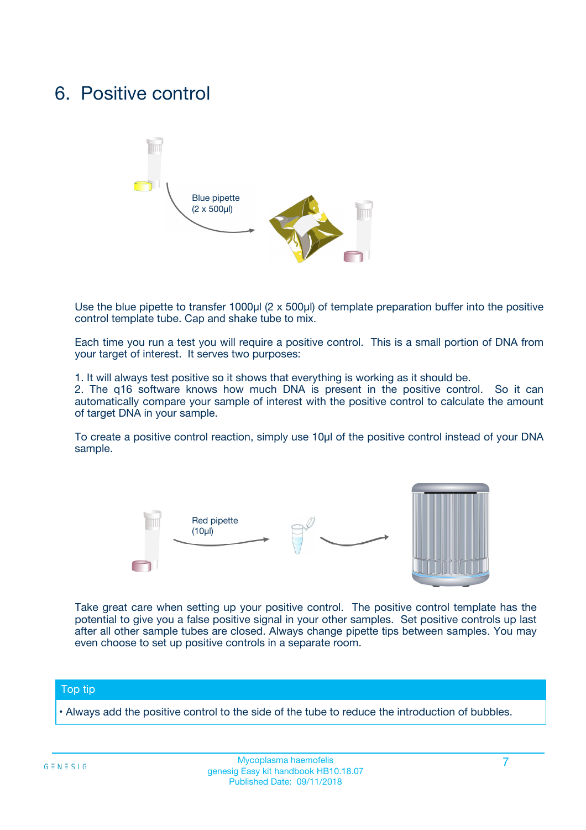### 6. Positive control



Use the blue pipette to transfer 1000µl (2 x 500µl) of template preparation buffer into the positive control template tube. Cap and shake tube to mix.

Each time you run a test you will require a positive control. This is a small portion of DNA from your target of interest. It serves two purposes:

1. It will always test positive so it shows that everything is working as it should be.

2. The q16 software knows how much DNA is present in the positive control. So it can automatically compare your sample of interest with the positive control to calculate the amount of target DNA in your sample.

To create a positive control reaction, simply use 10µl of the positive control instead of your DNA sample.



Take great care when setting up your positive control. The positive control template has the potential to give you a false positive signal in your other samples. Set positive controls up last after all other sample tubes are closed. Always change pipette tips between samples. You may even choose to set up positive controls in a separate room.

#### Top tip

**•** Always add the positive control to the side of the tube to reduce the introduction of bubbles.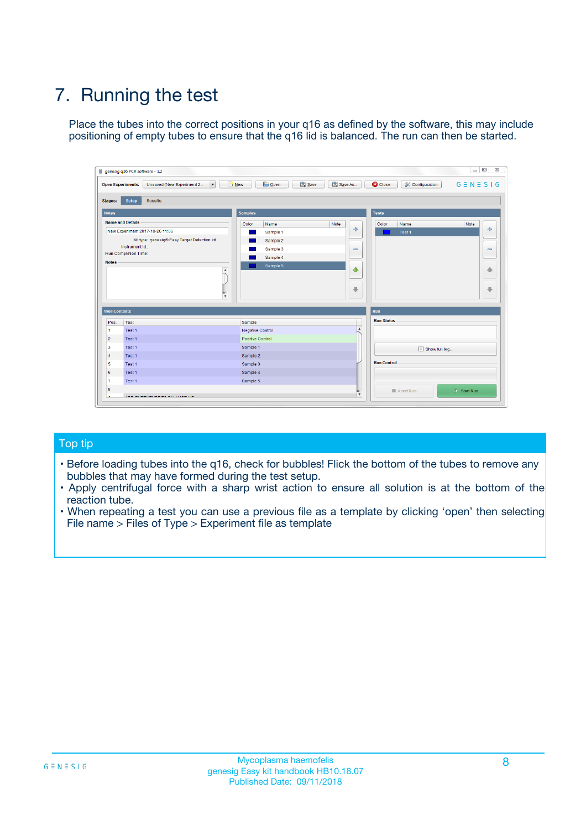## 7. Running the test

Place the tubes into the correct positions in your q16 as defined by the software, this may include positioning of empty tubes to ensure that the q16 lid is balanced. The run can then be started.

| genesig q16 PCR software - 1.2                                               |                                     | $\Box$                                                                                  |
|------------------------------------------------------------------------------|-------------------------------------|-----------------------------------------------------------------------------------------|
| Unsaved (New Experiment 2<br>$\vert \cdot \vert$<br><b>Open Experiments:</b> | <b>D</b> Open<br>Save<br>$\Box$ New | Save As<br><b>C</b> Close<br>$G \equiv N \equiv S \mid G$<br><b>&amp; Configuration</b> |
| Setup<br><b>Results</b><br><b>Stages:</b>                                    |                                     |                                                                                         |
| <b>Notes</b>                                                                 | Samples                             | <b>Tests</b>                                                                            |
| <b>Name and Details</b>                                                      | Color<br>Name                       | Note<br>Color<br>Note<br>Name                                                           |
| New Experiment 2017-10-26 11:06                                              | Sample 1                            | ع<br>条<br>Test 1                                                                        |
| Kit type: genesig® Easy Target Detection kit                                 | Sample 2                            |                                                                                         |
| Instrument Id.:                                                              | Sample 3                            | $\qquad \qquad \blacksquare$<br>$\qquad \qquad \blacksquare$                            |
| Run Completion Time:                                                         | Sample 4                            |                                                                                         |
| <b>Notes</b>                                                                 | Sample 5<br>A<br>v                  | $\triangle$<br>4<br>$\oplus$<br>₩                                                       |
| <b>Well Contents</b>                                                         |                                     | <b>Run</b>                                                                              |
| Pos.<br>Test                                                                 | Sample                              | <b>Run Status</b>                                                                       |
| Test 1<br>-1                                                                 | <b>Negative Control</b>             | $\blacktriangle$                                                                        |
| $\overline{2}$<br>Test 1                                                     | <b>Positive Control</b>             |                                                                                         |
| $\overline{\mathbf{3}}$<br>Test 1                                            | Sample 1                            | Show full log                                                                           |
| Test 1<br>$\overline{4}$                                                     | Sample 2                            |                                                                                         |
| 5<br>Test 1                                                                  | Sample 3                            | <b>Run Control</b>                                                                      |
| 6<br>Test 1                                                                  | Sample 4                            |                                                                                         |
| $\overline{7}$<br>Test 1                                                     | Sample 5                            |                                                                                         |
| 8                                                                            |                                     | $\triangleright$ Start Run<br>Abort Run                                                 |
| <b>JOD FURTY TUDE TO BUILDED IN</b>                                          |                                     | $\overline{\mathbf{v}}$                                                                 |

#### Top tip

- Before loading tubes into the q16, check for bubbles! Flick the bottom of the tubes to remove any bubbles that may have formed during the test setup.
- Apply centrifugal force with a sharp wrist action to ensure all solution is at the bottom of the reaction tube.
- When repeating a test you can use a previous file as a template by clicking 'open' then selecting File name > Files of Type > Experiment file as template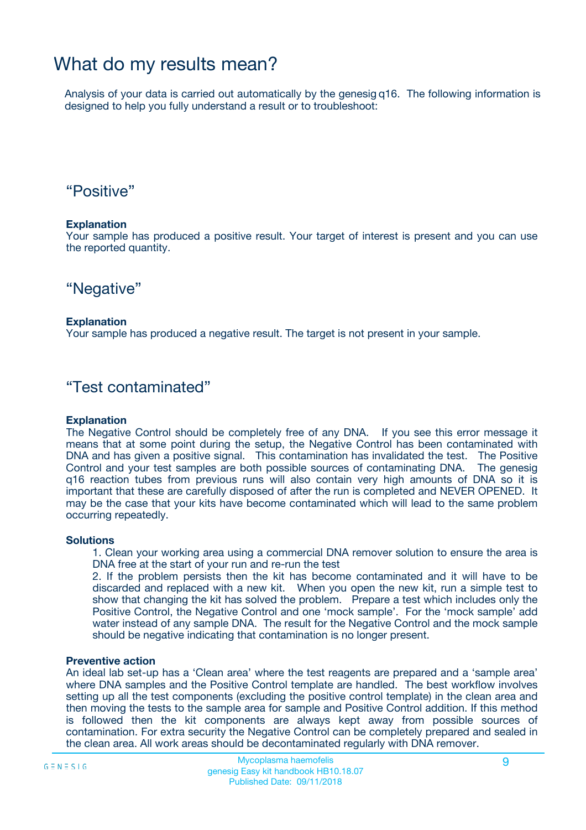### What do my results mean?

Analysis of your data is carried out automatically by the genesig q16. The following information is designed to help you fully understand a result or to troubleshoot:

### "Positive"

#### **Explanation**

Your sample has produced a positive result. Your target of interest is present and you can use the reported quantity.

"Negative"

#### **Explanation**

Your sample has produced a negative result. The target is not present in your sample.

### "Test contaminated"

#### **Explanation**

The Negative Control should be completely free of any DNA. If you see this error message it means that at some point during the setup, the Negative Control has been contaminated with DNA and has given a positive signal. This contamination has invalidated the test. The Positive Control and your test samples are both possible sources of contaminating DNA. The genesig q16 reaction tubes from previous runs will also contain very high amounts of DNA so it is important that these are carefully disposed of after the run is completed and NEVER OPENED. It may be the case that your kits have become contaminated which will lead to the same problem occurring repeatedly.

#### **Solutions**

1. Clean your working area using a commercial DNA remover solution to ensure the area is DNA free at the start of your run and re-run the test

2. If the problem persists then the kit has become contaminated and it will have to be discarded and replaced with a new kit. When you open the new kit, run a simple test to show that changing the kit has solved the problem. Prepare a test which includes only the Positive Control, the Negative Control and one 'mock sample'. For the 'mock sample' add water instead of any sample DNA. The result for the Negative Control and the mock sample should be negative indicating that contamination is no longer present.

#### **Preventive action**

An ideal lab set-up has a 'Clean area' where the test reagents are prepared and a 'sample area' where DNA samples and the Positive Control template are handled. The best workflow involves setting up all the test components (excluding the positive control template) in the clean area and then moving the tests to the sample area for sample and Positive Control addition. If this method is followed then the kit components are always kept away from possible sources of contamination. For extra security the Negative Control can be completely prepared and sealed in the clean area. All work areas should be decontaminated regularly with DNA remover.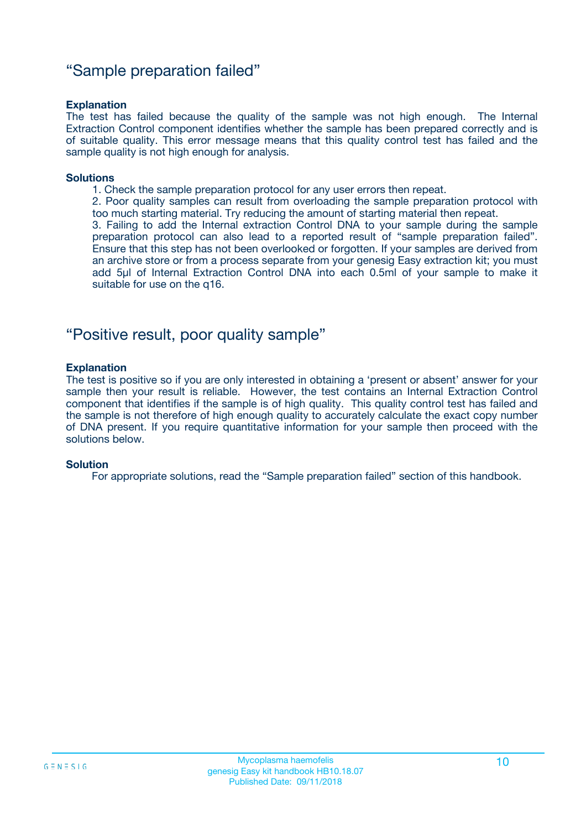### "Sample preparation failed"

#### **Explanation**

The test has failed because the quality of the sample was not high enough. The Internal Extraction Control component identifies whether the sample has been prepared correctly and is of suitable quality. This error message means that this quality control test has failed and the sample quality is not high enough for analysis.

#### **Solutions**

1. Check the sample preparation protocol for any user errors then repeat.

2. Poor quality samples can result from overloading the sample preparation protocol with too much starting material. Try reducing the amount of starting material then repeat.

3. Failing to add the Internal extraction Control DNA to your sample during the sample preparation protocol can also lead to a reported result of "sample preparation failed". Ensure that this step has not been overlooked or forgotten. If your samples are derived from an archive store or from a process separate from your genesig Easy extraction kit; you must add 5µl of Internal Extraction Control DNA into each 0.5ml of your sample to make it suitable for use on the q16.

### "Positive result, poor quality sample"

#### **Explanation**

The test is positive so if you are only interested in obtaining a 'present or absent' answer for your sample then your result is reliable. However, the test contains an Internal Extraction Control component that identifies if the sample is of high quality. This quality control test has failed and the sample is not therefore of high enough quality to accurately calculate the exact copy number of DNA present. If you require quantitative information for your sample then proceed with the solutions below.

#### **Solution**

For appropriate solutions, read the "Sample preparation failed" section of this handbook.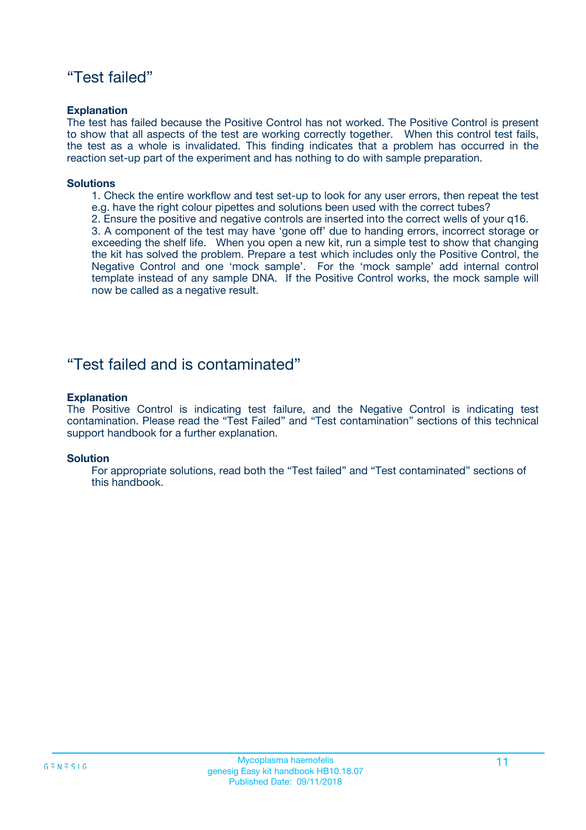### "Test failed"

#### **Explanation**

The test has failed because the Positive Control has not worked. The Positive Control is present to show that all aspects of the test are working correctly together. When this control test fails, the test as a whole is invalidated. This finding indicates that a problem has occurred in the reaction set-up part of the experiment and has nothing to do with sample preparation.

#### **Solutions**

- 1. Check the entire workflow and test set-up to look for any user errors, then repeat the test e.g. have the right colour pipettes and solutions been used with the correct tubes?
- 2. Ensure the positive and negative controls are inserted into the correct wells of your q16.

3. A component of the test may have 'gone off' due to handing errors, incorrect storage or exceeding the shelf life. When you open a new kit, run a simple test to show that changing the kit has solved the problem. Prepare a test which includes only the Positive Control, the Negative Control and one 'mock sample'. For the 'mock sample' add internal control template instead of any sample DNA. If the Positive Control works, the mock sample will now be called as a negative result.

### "Test failed and is contaminated"

#### **Explanation**

The Positive Control is indicating test failure, and the Negative Control is indicating test contamination. Please read the "Test Failed" and "Test contamination" sections of this technical support handbook for a further explanation.

#### **Solution**

For appropriate solutions, read both the "Test failed" and "Test contaminated" sections of this handbook.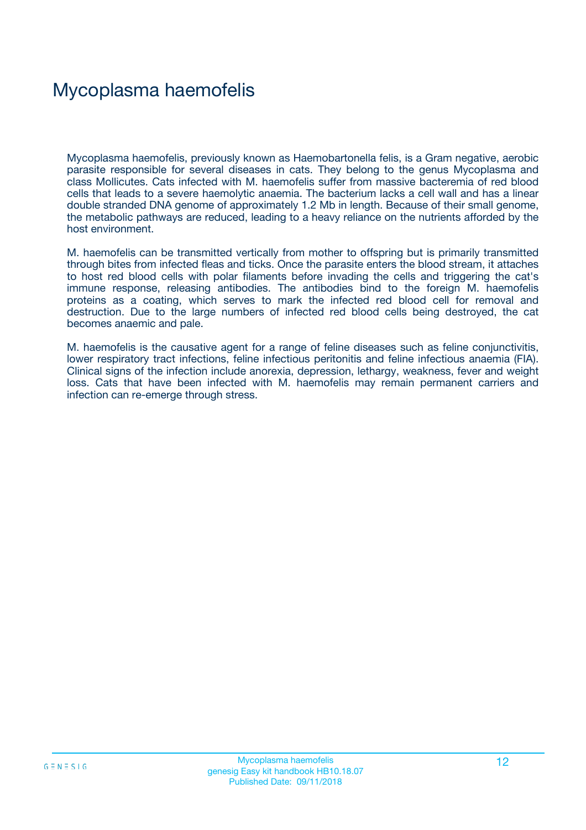## Mycoplasma haemofelis

Mycoplasma haemofelis, previously known as Haemobartonella felis, is a Gram negative, aerobic parasite responsible for several diseases in cats. They belong to the genus Mycoplasma and class Mollicutes. Cats infected with M. haemofelis suffer from massive bacteremia of red blood cells that leads to a severe haemolytic anaemia. The bacterium lacks a cell wall and has a linear double stranded DNA genome of approximately 1.2 Mb in length. Because of their small genome, the metabolic pathways are reduced, leading to a heavy reliance on the nutrients afforded by the host environment.

M. haemofelis can be transmitted vertically from mother to offspring but is primarily transmitted through bites from infected fleas and ticks. Once the parasite enters the blood stream, it attaches to host red blood cells with polar filaments before invading the cells and triggering the cat's immune response, releasing antibodies. The antibodies bind to the foreign M. haemofelis proteins as a coating, which serves to mark the infected red blood cell for removal and destruction. Due to the large numbers of infected red blood cells being destroyed, the cat becomes anaemic and pale.

M. haemofelis is the causative agent for a range of feline diseases such as feline conjunctivitis, lower respiratory tract infections, feline infectious peritonitis and feline infectious anaemia (FIA). Clinical signs of the infection include anorexia, depression, lethargy, weakness, fever and weight loss. Cats that have been infected with M. haemofelis may remain permanent carriers and infection can re-emerge through stress.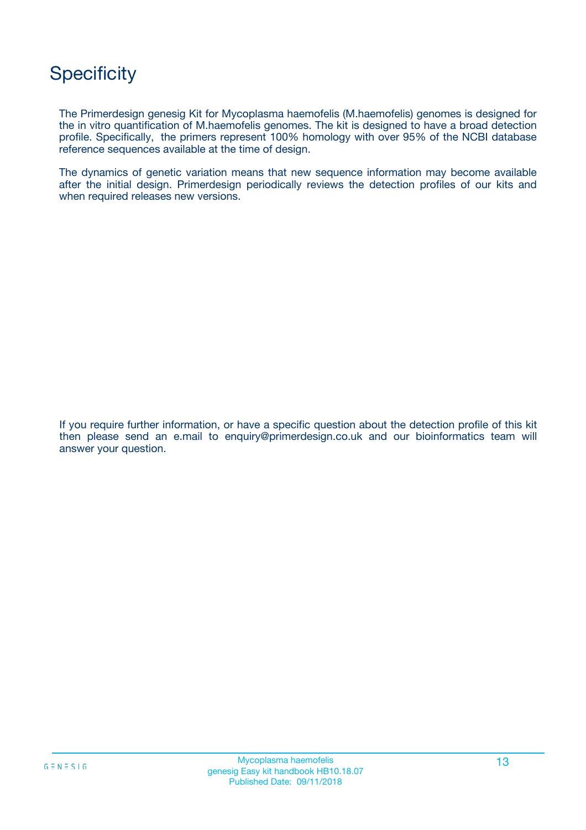## **Specificity**

The Primerdesign genesig Kit for Mycoplasma haemofelis (M.haemofelis) genomes is designed for the in vitro quantification of M.haemofelis genomes. The kit is designed to have a broad detection profile. Specifically, the primers represent 100% homology with over 95% of the NCBI database reference sequences available at the time of design.

The dynamics of genetic variation means that new sequence information may become available after the initial design. Primerdesign periodically reviews the detection profiles of our kits and when required releases new versions.

If you require further information, or have a specific question about the detection profile of this kit then please send an e.mail to enquiry@primerdesign.co.uk and our bioinformatics team will answer your question.